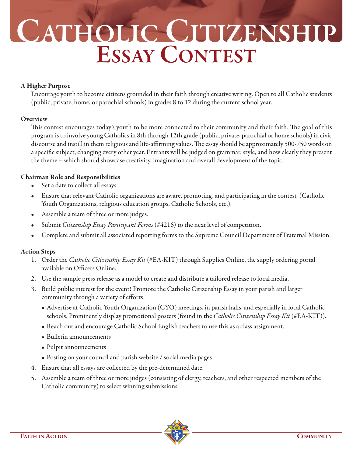# **CATHOLIC CITIZENSHIP ESSAY CONTEST**

#### **A Higher Purpose**

Encourage youth to become citizens grounded in their faith through creative writing. Open to all Catholic students (public, private, home, or parochial schools) in grades 8 to 12 during the current school year.

### **Overview**

This contest encourages today's youth to be more connected to their community and their faith. The goal of this program is to involve young Catholics in 8th through 12th grade (public, private, parochial or home schools) in civic discourse and instill in them religious and life-affirming values. The essay should be approximately 500-750 words on a specific subject, changing every other year. Entrants will be judged on grammar, style, and how clearly they present the theme – which should showcase creativity, imagination and overall development of the topic.

### **Chairman Role and Responsibilities**

- Set a date to collect all essays.
- Ensure that relevant Catholic organizations are aware, promoting, and participating in the contest (Catholic Youth Organizations, religious education groups, Catholic Schools, etc.).
- Assemble a team of three or more judges.
- Submit *Citizenship Essay Participant Forms* (#4216) to the next level of competition.
- Complete and submit all associated reporting forms to the Supreme Council Department of Fraternal Mission.

## **Action Steps**

- 1. Order the *Catholic Citizenship Essay Kit* (#EA-KIT) through Supplies Online, the supply ordering portal available on Officers Online.
- 2. Use the sample press release as a model to create and distribute a tailored release to local media.
- 3. Build public interest for the event! Promote the Catholic Citizenship Essay in your parish and larger community through a variety of efforts:
	- Advertise at Catholic Youth Organization (CYO) meetings, in parish halls, and especially in local Catholic schools. Prominently display promotional posters (found in the *Catholic Citizenship Essay Kit* (#EA-KIT)).
	- Reach out and encourage Catholic School English teachers to use this as a class assignment.
	- Bulletin announcements
	- Pulpit announcements
	- Posting on your council and parish website / social media pages
- 4. Ensure that all essays are collected by the pre-determined date.
- 5. Assemble a team of three or more judges (consisting of clergy, teachers, and other respected members of the Catholic community) to select winning submissions.